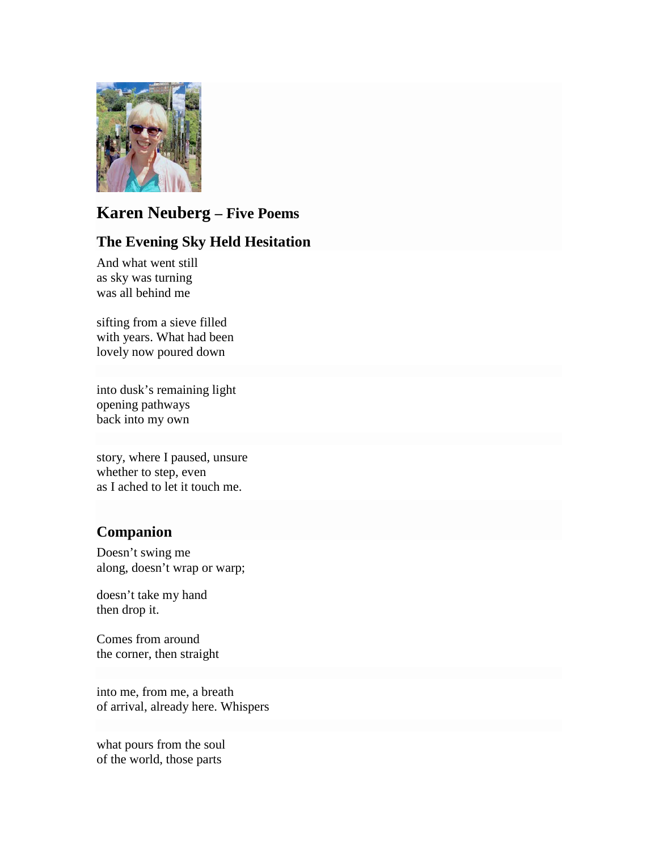

# **Karen Neuberg – Five Poems**

# **The Evening Sky Held Hesitation**

And what went still as sky was turning was all behind me

sifting from a sieve filled with years. What had been lovely now poured down

into dusk's remaining light opening pathways back into my own

story, where I paused, unsure whether to step, even as I ached to let it touch me.

# **Companion**

Doesn't swing me along, doesn't wrap or warp;

doesn't take my hand then drop it.

Comes from around the corner, then straight

into me, from me, a breath of arrival, already here. Whispers

what pours from the soul of the world, those parts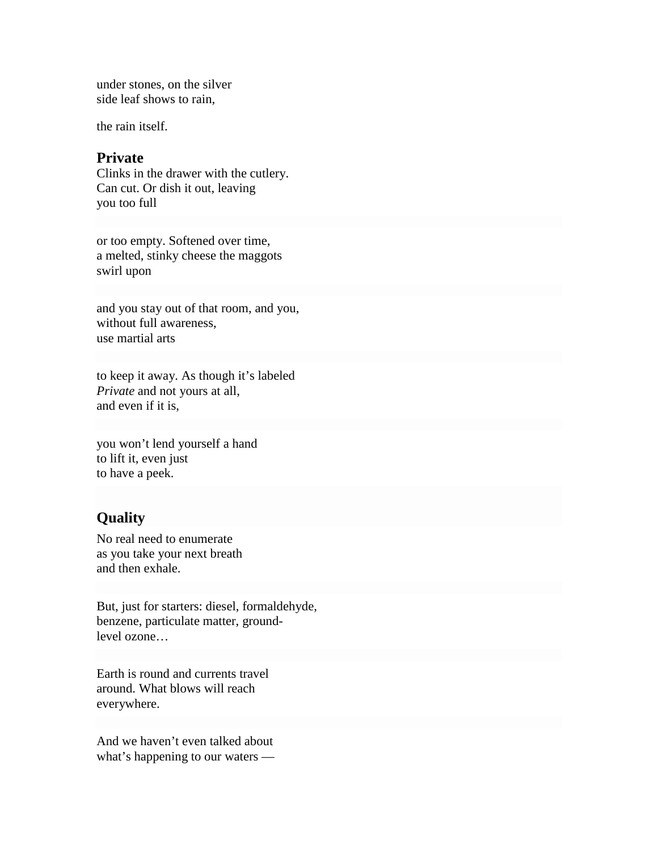under stones, on the silver side leaf shows to rain,

the rain itself.

#### **Private**

Clinks in the drawer with the cutlery. Can cut. Or dish it out, leaving you too full

or too empty. Softened over time, a melted, stinky cheese the maggots swirl upon

and you stay out of that room, and you, without full awareness, use martial arts

to keep it away. As though it's labeled *Private* and not yours at all, and even if it is,

you won't lend yourself a hand to lift it, even just to have a peek.

## **Quality**

No real need to enumerate as you take your next breath and then exhale.

But, just for starters: diesel, formaldehyde, benzene, particulate matter, groundlevel ozone…

Earth is round and currents travel around. What blows will reach everywhere.

And we haven't even talked about what's happening to our waters —